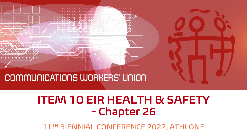

### COMMUNICATIONS WORKERS' UNION

## ITEM 10 EIR HEALTH & SAFETY - Chapter 26

11TH BIENNIAL CONFERENCE 2022, ATHLONE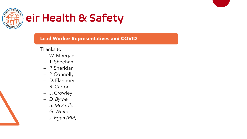

## eir Health & Safety

#### **Lead Worker Representatives and COVID**

Thanks to:

- W. Meegan
- T. Sheehan
- P. Sheridan
- P. Connolly
- D. Flannery
- R. Carton
- J. Crowley
- *D. Byrne*
- *B. McArdle*
- *G. White*
- *J. Egan (RIP)*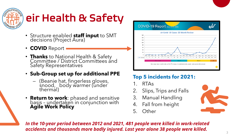

# eir Health & Safety

- Structure enabled **staff input** to SMT decisions (Project Aura)
- **COVID** Report
- **Thanks** to National Health & Safety Committee / District Committees and Safety Representatives

#### • **Sub-Group set up for additional PPE**

- (Beanie hat, fingerless gloves, snood, body warmer (under thermal)
- **Return to work**: phased and sensitive basis - undertaken in conjunction with **Agile Work Policy**



### **Top 5 incidents for 2021:**

- 1. RTAs
- 2. Slips, Trips and Falls
- 3. Manual Handling
- 4. Fall from height
- 5. Other



*In the 10-year period between 2012 and 2021, 481 people were killed in work-related accidents and thousands more badly injured. Last year alone 38 people were killed.*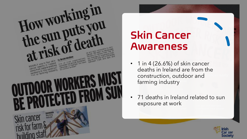

## Skin Cancer Awareness

- 1 in 4 (26.6%) of skin cancer deaths in Ireland are from the construction, outdoor and farming industry
- 71 deaths in Ireland related to sun exposure at work

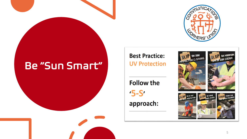

### Be "Sun Smart"

**Best Practice: UV Protection** 

**Follow the**  $5-S'$ approach: